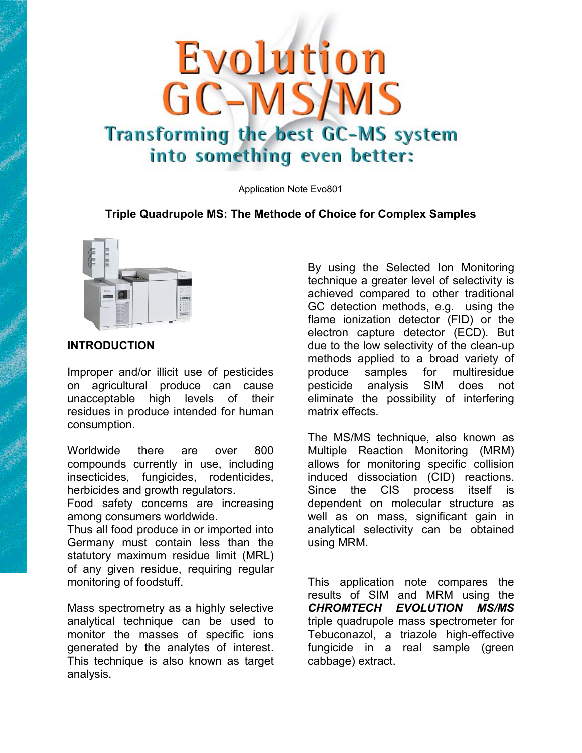# Evolution GC-MS/MS Transforming the best GC-MS system into something even better:

Application Note Evo801

## **Triple Quadrupole MS: The Methode of Choice for Complex Samples**



# **INTRODUCTION**

Improper and/or illicit use of pesticides on agricultural produce can cause unacceptable high levels of their residues in produce intended for human consumption.

Worldwide there are over 800 compounds currently in use, including insecticides, fungicides, rodenticides, herbicides and growth regulators.

Food safety concerns are increasing among consumers worldwide.

Thus all food produce in or imported into Germany must contain less than the statutory maximum residue limit (MRL) of any given residue, requiring regular monitoring of foodstuff.

Mass spectrometry as a highly selective analytical technique can be used to monitor the masses of specific ions generated by the analytes of interest. This technique is also known as target analysis.

By using the Selected Ion Monitoring technique a greater level of selectivity is achieved compared to other traditional GC detection methods, e.g. using the flame ionization detector (FID) or the electron capture detector (ECD). But due to the low selectivity of the clean-up methods applied to a broad variety of produce samples for multiresidue pesticide analysis SIM does not eliminate the possibility of interfering matrix effects.

The MS/MS technique, also known as Multiple Reaction Monitoring (MRM) allows for monitoring specific collision induced dissociation (CID) reactions. Since the CIS process itself is dependent on molecular structure as well as on mass, significant gain in analytical selectivity can be obtained using MRM.

This application note compares the results of SIM and MRM using the *CHROMTECH EVOLUTION MS/MS* triple quadrupole mass spectrometer for Tebuconazol, a triazole high-effective fungicide in a real sample (green cabbage) extract.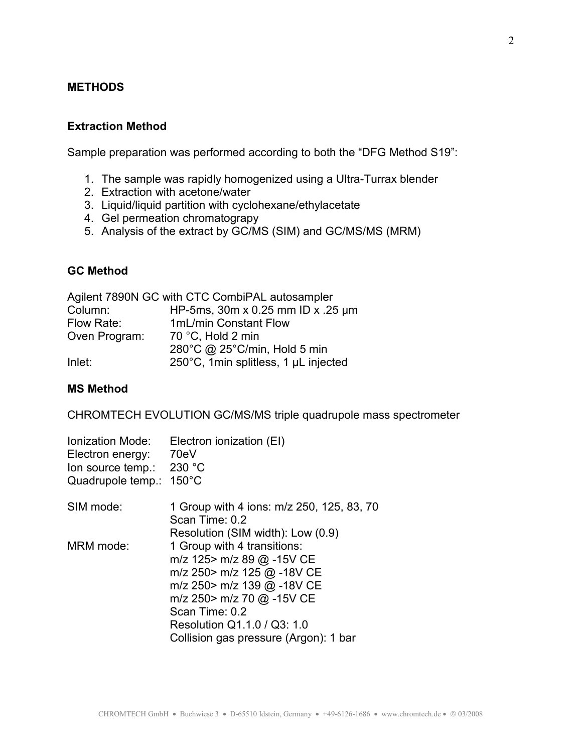## **METHODS**

#### **Extraction Method**

Sample preparation was performed according to both the "DFG Method S19":

- 1. The sample was rapidly homogenized using a Ultra-Turrax blender
- 2. Extraction with acetone/water
- 3. Liquid/liquid partition with cyclohexane/ethylacetate
- 4. Gel permeation chromatograpy
- 5. Analysis of the extract by GC/MS (SIM) and GC/MS/MS (MRM)

# **GC Method**

|               | Agilent 7890N GC with CTC CombiPAL autosampler |
|---------------|------------------------------------------------|
| Column:       | HP-5ms, 30m x 0.25 mm ID x .25 um              |
| Flow Rate:    | 1mL/min Constant Flow                          |
| Oven Program: | 70 °C, Hold 2 min                              |
|               | 280°C @ 25°C/min, Hold 5 min                   |
| Inlet:        | 250°C, 1 min splitless, 1 µL injected          |

### **MS Method**

CHROMTECH EVOLUTION GC/MS/MS triple quadrupole mass spectrometer

| <b>Ionization Mode:</b><br>Electron energy:<br>lon source temp.:<br>Quadrupole temp.: | Electron ionization (EI)<br>70eV<br>230 °C<br>$150^{\circ}$ C                                                                                                                                                                               |
|---------------------------------------------------------------------------------------|---------------------------------------------------------------------------------------------------------------------------------------------------------------------------------------------------------------------------------------------|
| SIM mode:                                                                             | 1 Group with 4 ions: m/z 250, 125, 83, 70<br>Scan Time: 0.2<br>Resolution (SIM width): Low (0.9)                                                                                                                                            |
| MRM mode:                                                                             | 1 Group with 4 transitions:<br>m/z 125> m/z 89 @ -15V CE<br>m/z 250> m/z 125 @ -18V CE<br>m/z 250> m/z 139 @ -18V CE<br>m/z 250> m/z 70 @ -15V CE<br>Scan Time: 0.2<br>Resolution Q1.1.0 / Q3: 1.0<br>Collision gas pressure (Argon): 1 bar |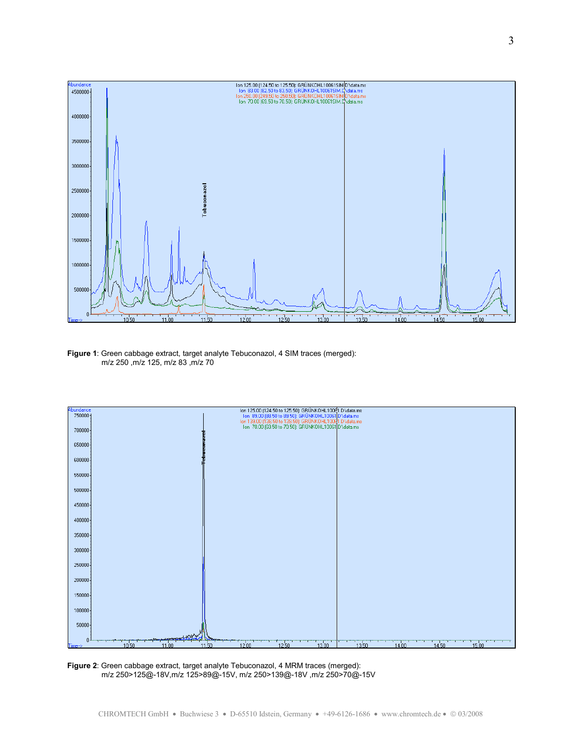

**Figure 1**: Green cabbage extract, target analyte Tebuconazol, 4 SIM traces (merged): m/z 250 ,m/z 125, m/z 83 ,m/z 70



**Figure 2**: Green cabbage extract, target analyte Tebuconazol, 4 MRM traces (merged): m/z 250>125@-18V,m/z 125>89@-15V, m/z 250>139@-18V ,m/z 250>70@-15V